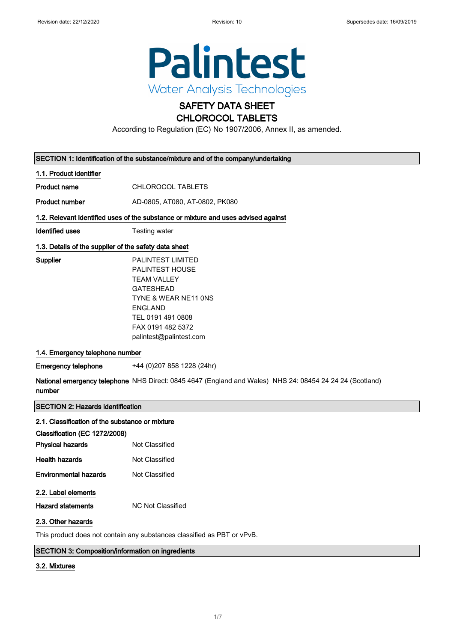$\overline{\phantom{a}}$ 

 $\overline{\phantom{a}}$ 



# SAFETY DATA SHEET

# CHLOROCOL TABLETS

According to Regulation (EC) No 1907/2006, Annex II, as amended.

| SECTION 1: Identification of the substance/mixture and of the company/undertaking  |                                                                                                                                                                                                      |  |
|------------------------------------------------------------------------------------|------------------------------------------------------------------------------------------------------------------------------------------------------------------------------------------------------|--|
| 1.1. Product identifier                                                            |                                                                                                                                                                                                      |  |
| <b>Product name</b>                                                                | <b>CHLOROCOL TABLETS</b>                                                                                                                                                                             |  |
| <b>Product number</b>                                                              | AD-0805, AT080, AT-0802, PK080                                                                                                                                                                       |  |
| 1.2. Relevant identified uses of the substance or mixture and uses advised against |                                                                                                                                                                                                      |  |
| <b>Identified uses</b>                                                             | Testing water                                                                                                                                                                                        |  |
| 1.3. Details of the supplier of the safety data sheet                              |                                                                                                                                                                                                      |  |
| Supplier                                                                           | <b>PALINTEST LIMITED</b><br>PALINTEST HOUSE<br><b>TEAM VALLEY</b><br><b>GATESHEAD</b><br>TYNE & WEAR NE11 ONS<br><b>ENGLAND</b><br>TEL 0191 491 0808<br>FAX 0191 482 5372<br>palintest@palintest.com |  |
| 1.4. Emergency telephone number                                                    |                                                                                                                                                                                                      |  |
| <b>Emergency telephone</b>                                                         | +44 (0) 207 858 1228 (24hr)                                                                                                                                                                          |  |
| number                                                                             | National emergency telephone NHS Direct: 0845 4647 (England and Wales) NHS 24: 08454 24 24 24 (Scotland)                                                                                             |  |
| <b>SECTION 2: Hazards identification</b>                                           |                                                                                                                                                                                                      |  |
| 2.1. Classification of the substance or mixture                                    |                                                                                                                                                                                                      |  |
| Classification (EC 1272/2008)                                                      |                                                                                                                                                                                                      |  |
| <b>Physical hazards</b>                                                            | Not Classified                                                                                                                                                                                       |  |
| <b>Health hazards</b>                                                              | Not Classified                                                                                                                                                                                       |  |
| <b>Environmental hazards</b>                                                       | Not Classified                                                                                                                                                                                       |  |

### 2.2. Label elements

Hazard statements MC Not Classified

#### 2.3. Other hazards

This product does not contain any substances classified as PBT or vPvB.

#### SECTION 3: Composition/information on ingredients

#### 3.2. Mixtures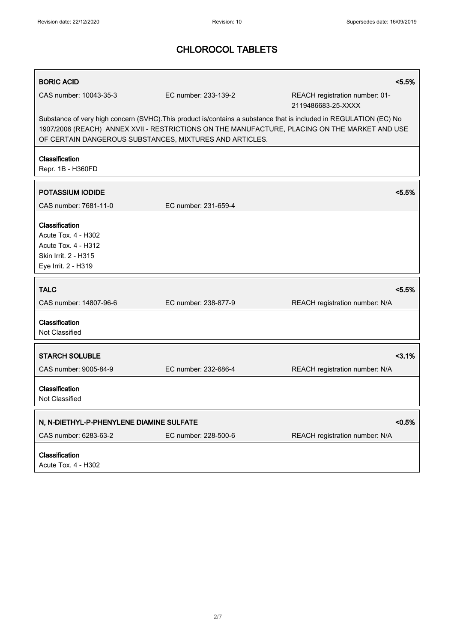| <b>BORIC ACID</b>                                                                                                                                                                                                                                                              |                      | < 5.5%                                               |  |
|--------------------------------------------------------------------------------------------------------------------------------------------------------------------------------------------------------------------------------------------------------------------------------|----------------------|------------------------------------------------------|--|
| CAS number: 10043-35-3                                                                                                                                                                                                                                                         | EC number: 233-139-2 | REACH registration number: 01-<br>2119486683-25-XXXX |  |
| Substance of very high concern (SVHC). This product is/contains a substance that is included in REGULATION (EC) No<br>1907/2006 (REACH) ANNEX XVII - RESTRICTIONS ON THE MANUFACTURE, PLACING ON THE MARKET AND USE<br>OF CERTAIN DANGEROUS SUBSTANCES, MIXTURES AND ARTICLES. |                      |                                                      |  |
| Classification<br>Repr. 1B - H360FD                                                                                                                                                                                                                                            |                      |                                                      |  |
| <b>POTASSIUM IODIDE</b>                                                                                                                                                                                                                                                        |                      | < 5.5%                                               |  |
| CAS number: 7681-11-0                                                                                                                                                                                                                                                          | EC number: 231-659-4 |                                                      |  |
| Classification<br>Acute Tox. 4 - H302<br>Acute Tox. 4 - H312<br>Skin Irrit. 2 - H315<br>Eye Irrit. 2 - H319                                                                                                                                                                    |                      |                                                      |  |
| <b>TALC</b>                                                                                                                                                                                                                                                                    |                      | < 5.5%                                               |  |
| CAS number: 14807-96-6                                                                                                                                                                                                                                                         | EC number: 238-877-9 | REACH registration number: N/A                       |  |
| Classification<br>Not Classified                                                                                                                                                                                                                                               |                      |                                                      |  |
| <b>STARCH SOLUBLE</b>                                                                                                                                                                                                                                                          |                      | $3.1\%$                                              |  |
| CAS number: 9005-84-9                                                                                                                                                                                                                                                          | EC number: 232-686-4 | REACH registration number: N/A                       |  |
| Classification<br>Not Classified                                                                                                                                                                                                                                               |                      |                                                      |  |
| N, N-DIETHYL-P-PHENYLENE DIAMINE SULFATE                                                                                                                                                                                                                                       |                      | < 0.5%                                               |  |
| CAS number: 6283-63-2                                                                                                                                                                                                                                                          | EC number: 228-500-6 | REACH registration number: N/A                       |  |
| Classification<br>Acute Tox. 4 - H302                                                                                                                                                                                                                                          |                      |                                                      |  |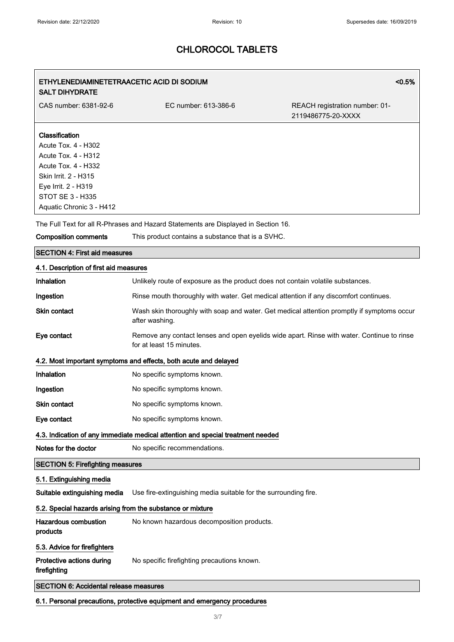### ETHYLENEDIAMINETETRAACETIC ACID DI SODIUM SALT DIHYDRATE

<0.5%

CAS number: 6381-92-6 EC number: 613-386-6 REACH registration number: 01-2119486775-20-XXXX

#### **Classification**

Acute Tox. 4 - H302 Acute Tox. 4 - H312 Acute Tox. 4 - H332 Skin Irrit. 2 - H315 Eye Irrit. 2 - H319 STOT SE 3 - H335 Aquatic Chronic 3 - H412

The Full Text for all R-Phrases and Hazard Statements are Displayed in Section 16.

Composition comments This product contains a substance that is a SVHC.

#### SECTION 4: First aid measures

#### 4.1. Description of first aid measures

| Inhalation                                                                      | Unlikely route of exposure as the product does not contain volatile substances.                                        |  |
|---------------------------------------------------------------------------------|------------------------------------------------------------------------------------------------------------------------|--|
| Ingestion                                                                       | Rinse mouth thoroughly with water. Get medical attention if any discomfort continues.                                  |  |
| Skin contact                                                                    | Wash skin thoroughly with soap and water. Get medical attention promptly if symptoms occur<br>after washing.           |  |
| Eye contact                                                                     | Remove any contact lenses and open eyelids wide apart. Rinse with water. Continue to rinse<br>for at least 15 minutes. |  |
|                                                                                 | 4.2. Most important symptoms and effects, both acute and delayed                                                       |  |
| <b>Inhalation</b>                                                               | No specific symptoms known.                                                                                            |  |
| Ingestion                                                                       | No specific symptoms known.                                                                                            |  |
| <b>Skin contact</b>                                                             | No specific symptoms known.                                                                                            |  |
| Eye contact                                                                     | No specific symptoms known.                                                                                            |  |
| 4.3. Indication of any immediate medical attention and special treatment needed |                                                                                                                        |  |
| Notes for the doctor                                                            | No specific recommendations.                                                                                           |  |
| <b>SECTION 5: Firefighting measures</b>                                         |                                                                                                                        |  |
| 5.1. Extinguishing media                                                        |                                                                                                                        |  |
| Suitable extinguishing media                                                    | Use fire-extinguishing media suitable for the surrounding fire.                                                        |  |
| 5.2. Special hazards arising from the substance or mixture                      |                                                                                                                        |  |
| <b>Hazardous combustion</b><br>products                                         | No known hazardous decomposition products.                                                                             |  |
| 5.3. Advice for firefighters                                                    |                                                                                                                        |  |
| Protective actions during<br>firefighting                                       | No specific firefighting precautions known.                                                                            |  |
| <b>SECTION 6: Accidental release measures</b>                                   |                                                                                                                        |  |

6.1. Personal precautions, protective equipment and emergency procedures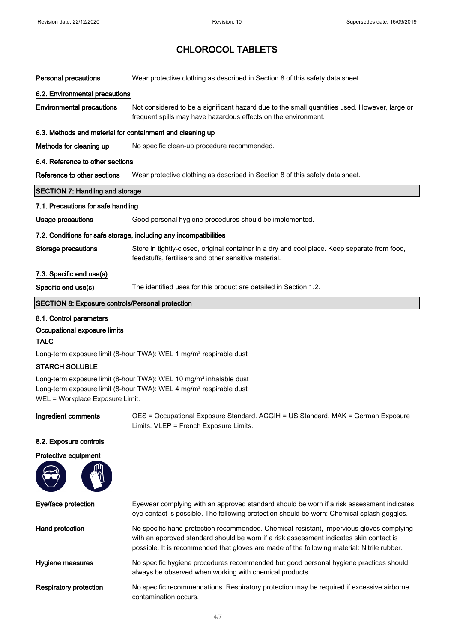| <b>Personal precautions</b>                                       | Wear protective clothing as described in Section 8 of this safety data sheet.                                                                                   |  |
|-------------------------------------------------------------------|-----------------------------------------------------------------------------------------------------------------------------------------------------------------|--|
| 6.2. Environmental precautions                                    |                                                                                                                                                                 |  |
| <b>Environmental precautions</b>                                  | Not considered to be a significant hazard due to the small quantities used. However, large or<br>frequent spills may have hazardous effects on the environment. |  |
| 6.3. Methods and material for containment and cleaning up         |                                                                                                                                                                 |  |
| Methods for cleaning up                                           | No specific clean-up procedure recommended.                                                                                                                     |  |
| 6.4. Reference to other sections                                  |                                                                                                                                                                 |  |
| Reference to other sections                                       | Wear protective clothing as described in Section 8 of this safety data sheet.                                                                                   |  |
| <b>SECTION 7: Handling and storage</b>                            |                                                                                                                                                                 |  |
| 7.1. Precautions for safe handling                                |                                                                                                                                                                 |  |
| <b>Usage precautions</b>                                          | Good personal hygiene procedures should be implemented.                                                                                                         |  |
| 7.2. Conditions for safe storage, including any incompatibilities |                                                                                                                                                                 |  |
| <b>Storage precautions</b>                                        | Store in tightly-closed, original container in a dry and cool place. Keep separate from food,<br>feedstuffs, fertilisers and other sensitive material.          |  |
| 7.3. Specific end use(s)                                          |                                                                                                                                                                 |  |
| Specific end use(s)                                               | The identified uses for this product are detailed in Section 1.2.                                                                                               |  |
| <b>SECTION 8: Exposure controls/Personal protection</b>           |                                                                                                                                                                 |  |
| 8.1. Control parameters                                           |                                                                                                                                                                 |  |
| Occupational exposure limits                                      |                                                                                                                                                                 |  |
| <b>TALC</b>                                                       |                                                                                                                                                                 |  |

Long-term exposure limit (8-hour TWA): WEL 1 mg/m<sup>3</sup> respirable dust

#### STARCH SOLUBLE

Long-term exposure limit (8-hour TWA): WEL 10 mg/m<sup>3</sup> inhalable dust Long-term exposure limit (8-hour TWA): WEL 4 mg/m<sup>3</sup> respirable dust WEL = Workplace Exposure Limit.

Ingredient comments OES = Occupational Exposure Standard. ACGIH = US Standard. MAK = German Exposure Limits. VLEP = French Exposure Limits.

#### 8.2. Exposure controls



Eye/face protection Eyewear complying with an approved standard should be worn if a risk assessment indicates eye contact is possible. The following protection should be worn: Chemical splash goggles. Hand protection No specific hand protection recommended. Chemical-resistant, impervious gloves complying with an approved standard should be worn if a risk assessment indicates skin contact is possible. It is recommended that gloves are made of the following material: Nitrile rubber. Hygiene measures No specific hygiene procedures recommended but good personal hygiene practices should always be observed when working with chemical products. Respiratory protection No specific recommendations. Respiratory protection may be required if excessive airborne contamination occurs.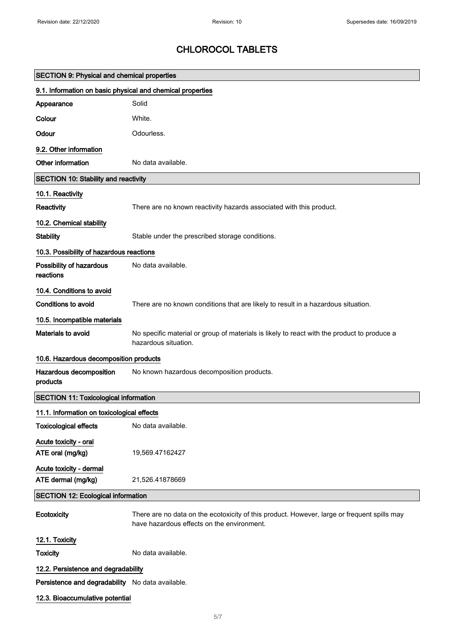| <b>SECTION 9: Physical and chemical properties</b>         |                                                                                                                                           |
|------------------------------------------------------------|-------------------------------------------------------------------------------------------------------------------------------------------|
| 9.1. Information on basic physical and chemical properties |                                                                                                                                           |
| Appearance                                                 | Solid                                                                                                                                     |
| Colour                                                     | White.                                                                                                                                    |
| Odour                                                      | Odourless.                                                                                                                                |
| 9.2. Other information                                     |                                                                                                                                           |
| Other information                                          | No data available.                                                                                                                        |
| <b>SECTION 10: Stability and reactivity</b>                |                                                                                                                                           |
| 10.1. Reactivity                                           |                                                                                                                                           |
| Reactivity                                                 | There are no known reactivity hazards associated with this product.                                                                       |
| 10.2. Chemical stability                                   |                                                                                                                                           |
| <b>Stability</b>                                           | Stable under the prescribed storage conditions.                                                                                           |
| 10.3. Possibility of hazardous reactions                   |                                                                                                                                           |
| Possibility of hazardous<br>reactions                      | No data available.                                                                                                                        |
| 10.4. Conditions to avoid                                  |                                                                                                                                           |
| <b>Conditions to avoid</b>                                 | There are no known conditions that are likely to result in a hazardous situation.                                                         |
| 10.5. Incompatible materials                               |                                                                                                                                           |
| Materials to avoid                                         | No specific material or group of materials is likely to react with the product to produce a<br>hazardous situation.                       |
| 10.6. Hazardous decomposition products                     |                                                                                                                                           |
| Hazardous decomposition<br>products                        | No known hazardous decomposition products.                                                                                                |
| <b>SECTION 11: Toxicological information</b>               |                                                                                                                                           |
| 11.1. Information on toxicological effects                 |                                                                                                                                           |
| <b>Toxicological effects</b>                               | No data available.                                                                                                                        |
| Acute toxicity - oral                                      |                                                                                                                                           |
| ATE oral (mg/kg)                                           | 19,569.47162427                                                                                                                           |
| Acute toxicity - dermal<br>ATE dermal (mg/kg)              | 21,526.41878669                                                                                                                           |
| <b>SECTION 12: Ecological information</b>                  |                                                                                                                                           |
| Ecotoxicity                                                | There are no data on the ecotoxicity of this product. However, large or frequent spills may<br>have hazardous effects on the environment. |
| 12.1. Toxicity                                             |                                                                                                                                           |
| <b>Toxicity</b>                                            | No data available.                                                                                                                        |
| 12.2. Persistence and degradability                        |                                                                                                                                           |
| Persistence and degradability No data available.           |                                                                                                                                           |
| 12.3. Bioaccumulative potential                            |                                                                                                                                           |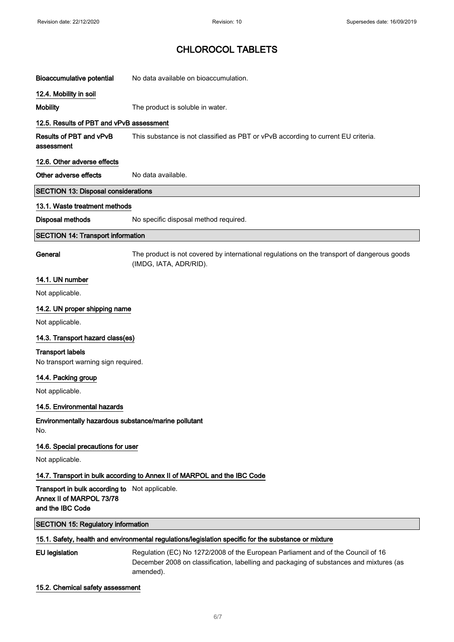| <b>Bioaccumulative potential</b>                                                               | No data available on bioaccumulation.                                                                                                                                                    |  |
|------------------------------------------------------------------------------------------------|------------------------------------------------------------------------------------------------------------------------------------------------------------------------------------------|--|
| 12.4. Mobility in soil                                                                         |                                                                                                                                                                                          |  |
| <b>Mobility</b>                                                                                | The product is soluble in water.                                                                                                                                                         |  |
| 12.5. Results of PBT and vPvB assessment                                                       |                                                                                                                                                                                          |  |
| Results of PBT and vPvB<br>assessment                                                          | This substance is not classified as PBT or vPvB according to current EU criteria.                                                                                                        |  |
| 12.6. Other adverse effects                                                                    |                                                                                                                                                                                          |  |
| Other adverse effects                                                                          | No data available.                                                                                                                                                                       |  |
| <b>SECTION 13: Disposal considerations</b>                                                     |                                                                                                                                                                                          |  |
| 13.1. Waste treatment methods                                                                  |                                                                                                                                                                                          |  |
| <b>Disposal methods</b>                                                                        | No specific disposal method required.                                                                                                                                                    |  |
| <b>SECTION 14: Transport information</b>                                                       |                                                                                                                                                                                          |  |
| General                                                                                        | The product is not covered by international regulations on the transport of dangerous goods<br>(IMDG, IATA, ADR/RID).                                                                    |  |
| 14.1. UN number                                                                                |                                                                                                                                                                                          |  |
| Not applicable.                                                                                |                                                                                                                                                                                          |  |
| 14.2. UN proper shipping name                                                                  |                                                                                                                                                                                          |  |
| Not applicable.                                                                                |                                                                                                                                                                                          |  |
| 14.3. Transport hazard class(es)                                                               |                                                                                                                                                                                          |  |
| <b>Transport labels</b><br>No transport warning sign required.                                 |                                                                                                                                                                                          |  |
| 14.4. Packing group                                                                            |                                                                                                                                                                                          |  |
| Not applicable.                                                                                |                                                                                                                                                                                          |  |
| 14.5. Environmental hazards                                                                    |                                                                                                                                                                                          |  |
| Environmentally hazardous substance/marine pollutant<br>No.                                    |                                                                                                                                                                                          |  |
| 14.6. Special precautions for user                                                             |                                                                                                                                                                                          |  |
| Not applicable.                                                                                |                                                                                                                                                                                          |  |
|                                                                                                | 14.7. Transport in bulk according to Annex II of MARPOL and the IBC Code                                                                                                                 |  |
| Transport in bulk according to Not applicable.<br>Annex II of MARPOL 73/78<br>and the IBC Code |                                                                                                                                                                                          |  |
| <b>SECTION 15: Regulatory information</b>                                                      |                                                                                                                                                                                          |  |
|                                                                                                | 15.1. Safety, health and environmental regulations/legislation specific for the substance or mixture                                                                                     |  |
| <b>EU</b> legislation                                                                          | Regulation (EC) No 1272/2008 of the European Parliament and of the Council of 16<br>December 2008 on classification, labelling and packaging of substances and mixtures (as<br>amended). |  |

#### 15.2. Chemical safety assessment